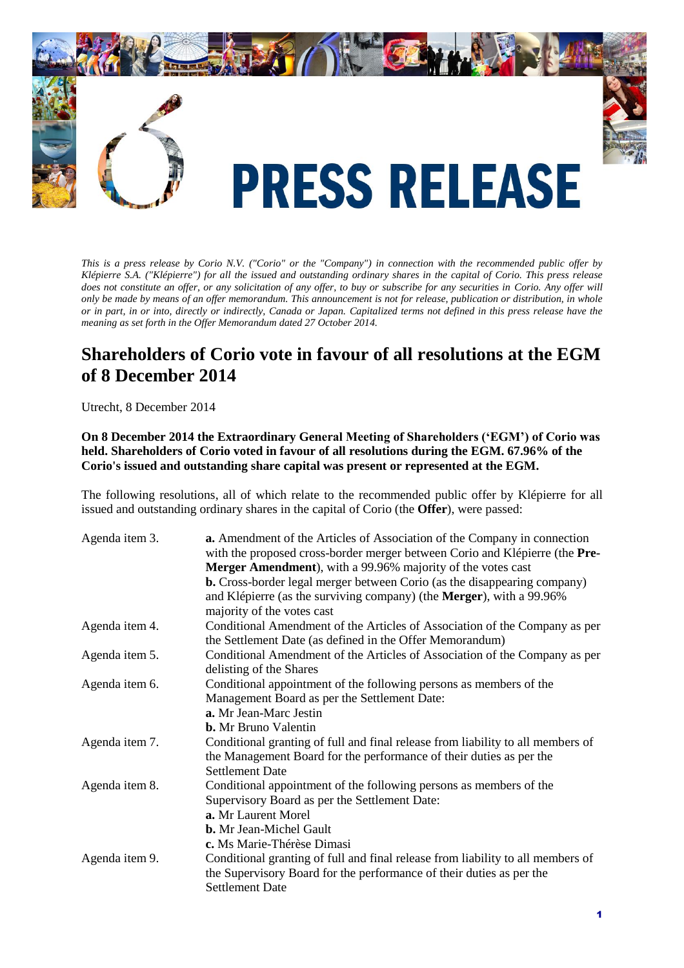

*This is a press release by Corio N.V. ("Corio" or the "Company") in connection with the recommended public offer by Klépierre S.A. ("Klépierre") for all the issued and outstanding ordinary shares in the capital of Corio. This press release does not constitute an offer, or any solicitation of any offer, to buy or subscribe for any securities in Corio. Any offer will only be made by means of an offer memorandum. This announcement is not for release, publication or distribution, in whole or in part, in or into, directly or indirectly, Canada or Japan. Capitalized terms not defined in this press release have the meaning as set forth in the Offer Memorandum dated 27 October 2014.*

# **Shareholders of Corio vote in favour of all resolutions at the EGM of 8 December 2014**

Utrecht, 8 December 2014

# **On 8 December 2014 the Extraordinary General Meeting of Shareholders ('EGM') of Corio was held. Shareholders of Corio voted in favour of all resolutions during the EGM. 67.96% of the Corio's issued and outstanding share capital was present or represented at the EGM.**

The following resolutions, all of which relate to the recommended public offer by Klépierre for all issued and outstanding ordinary shares in the capital of Corio (the **Offer**), were passed:

| Agenda item 3. | a. Amendment of the Articles of Association of the Company in connection<br>with the proposed cross-border merger between Corio and Klépierre (the Pre- |
|----------------|---------------------------------------------------------------------------------------------------------------------------------------------------------|
|                | Merger Amendment), with a 99.96% majority of the votes cast                                                                                             |
|                | <b>b.</b> Cross-border legal merger between Corio (as the disappearing company)                                                                         |
|                | and Klépierre (as the surviving company) (the Merger), with a 99.96%                                                                                    |
|                | majority of the votes cast                                                                                                                              |
| Agenda item 4. | Conditional Amendment of the Articles of Association of the Company as per<br>the Settlement Date (as defined in the Offer Memorandum)                  |
|                |                                                                                                                                                         |
| Agenda item 5. | Conditional Amendment of the Articles of Association of the Company as per<br>delisting of the Shares                                                   |
| Agenda item 6. | Conditional appointment of the following persons as members of the                                                                                      |
|                | Management Board as per the Settlement Date:                                                                                                            |
|                | a. Mr Jean-Marc Jestin                                                                                                                                  |
|                | <b>b.</b> Mr Bruno Valentin                                                                                                                             |
| Agenda item 7. | Conditional granting of full and final release from liability to all members of                                                                         |
|                | the Management Board for the performance of their duties as per the                                                                                     |
|                | <b>Settlement Date</b>                                                                                                                                  |
| Agenda item 8. | Conditional appointment of the following persons as members of the                                                                                      |
|                | Supervisory Board as per the Settlement Date:                                                                                                           |
|                | a. Mr Laurent Morel                                                                                                                                     |
|                | <b>b.</b> Mr Jean-Michel Gault                                                                                                                          |
|                | c. Ms Marie-Thérèse Dimasi                                                                                                                              |
| Agenda item 9. | Conditional granting of full and final release from liability to all members of                                                                         |
|                | the Supervisory Board for the performance of their duties as per the                                                                                    |
|                | <b>Settlement Date</b>                                                                                                                                  |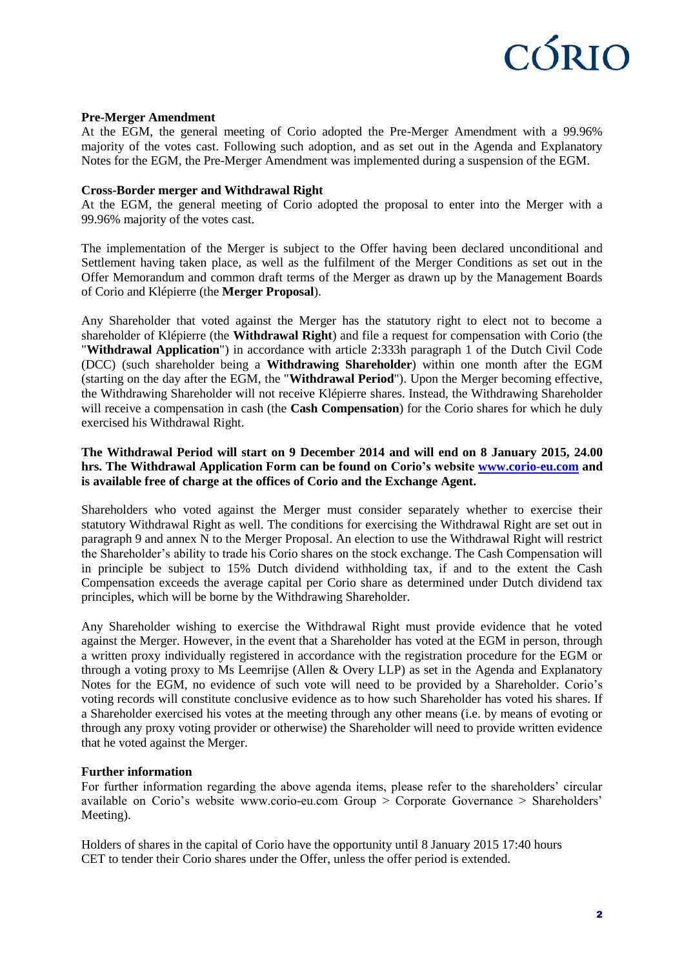

#### **Pre-Merger Amendment**

At the EGM, the general meeting of Corio adopted the Pre-Merger Amendment with a 99.96% majority of the votes cast. Following such adoption, and as set out in the Agenda and Explanatory Notes for the EGM, the Pre-Merger Amendment was implemented during a suspension of the EGM.

#### **Cross-Border merger and Withdrawal Right**

At the EGM, the general meeting of Corio adopted the proposal to enter into the Merger with a 99.96% majority of the votes cast.

The implementation of the Merger is subject to the Offer having been declared unconditional and Settlement having taken place, as well as the fulfilment of the Merger Conditions as set out in the Offer Memorandum and common draft terms of the Merger as drawn up by the Management Boards of Corio and Klépierre (the **Merger Proposal**).

Any Shareholder that voted against the Merger has the statutory right to elect not to become a shareholder of Klépierre (the **Withdrawal Right**) and file a request for compensation with Corio (the "**Withdrawal Application**") in accordance with article 2:333h paragraph 1 of the Dutch Civil Code (DCC) (such shareholder being a **Withdrawing Shareholder**) within one month after the EGM (starting on the day after the EGM, the "**Withdrawal Period**"). Upon the Merger becoming effective, the Withdrawing Shareholder will not receive Klépierre shares. Instead, the Withdrawing Shareholder will receive a compensation in cash (the **Cash Compensation**) for the Corio shares for which he duly exercised his Withdrawal Right.

### **The Withdrawal Period will start on 9 December 2014 and will end on 8 January 2015, 24.00 hrs. The Withdrawal Application Form can be found on Corio's website [www.corio-eu.com](http://www.corio-eu.com/) and is available free of charge at the offices of Corio and the Exchange Agent.**

Shareholders who voted against the Merger must consider separately whether to exercise their statutory Withdrawal Right as well. The conditions for exercising the Withdrawal Right are set out in paragraph 9 and annex N to the Merger Proposal. An election to use the Withdrawal Right will restrict the Shareholder's ability to trade his Corio shares on the stock exchange. The Cash Compensation will in principle be subject to 15% Dutch dividend withholding tax, if and to the extent the Cash Compensation exceeds the average capital per Corio share as determined under Dutch dividend tax principles, which will be borne by the Withdrawing Shareholder.

Any Shareholder wishing to exercise the Withdrawal Right must provide evidence that he voted against the Merger. However, in the event that a Shareholder has voted at the EGM in person, through a written proxy individually registered in accordance with the registration procedure for the EGM or through a voting proxy to Ms Leemrijse (Allen & Overy LLP) as set in the Agenda and Explanatory Notes for the EGM, no evidence of such vote will need to be provided by a Shareholder. Corio's voting records will constitute conclusive evidence as to how such Shareholder has voted his shares. If a Shareholder exercised his votes at the meeting through any other means (i.e. by means of evoting or through any proxy voting provider or otherwise) the Shareholder will need to provide written evidence that he voted against the Merger.

#### **Further information**

For further information regarding the above agenda items, please refer to the shareholders' circular available on Corio's website www.corio-eu.com Group > Corporate Governance > Shareholders' Meeting).

Holders of shares in the capital of Corio have the opportunity until 8 January 2015 17:40 hours CET to tender their Corio shares under the Offer, unless the offer period is extended.